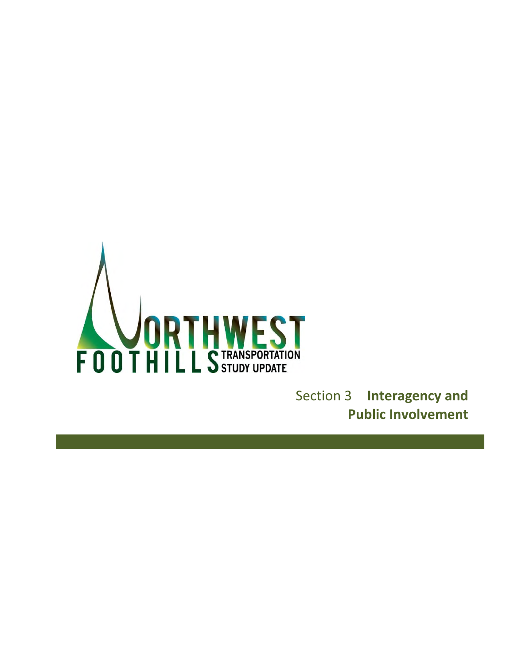<span id="page-0-0"></span>

Section 3 **Interagency and Public Involvement**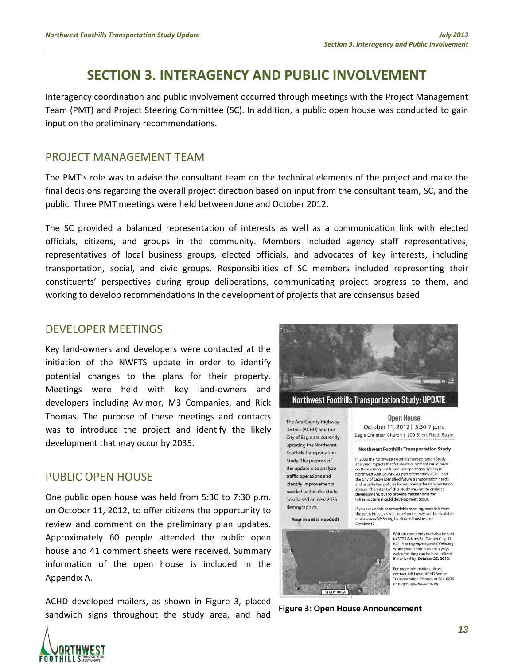# **[SECTION 3.](#page-0-0) INTERAGENCY AND PUBLIC INVOLVEMENT**

Interagency coordination and public involvement occurred through meetings with the Project Management Team (PMT) and Project Steering Committee (SC). In addition, a public open house was conducted to gain input on the preliminary recommendations.

### PROJECT MANAGEMENT TEAM

The PMT's role was to advise the consultant team on the technical elements of the project and make the final decisions regarding the overall project direction based on input from the consultant team, SC, and the public. Three PMT meetings were held between June and October 2012.

The SC provided a balanced representation of interests as well as a communication link with elected officials, citizens, and groups in the community. Members included agency staff representatives, representatives of local business groups, elected officials, and advocates of key interests, including transportation, social, and civic groups. Responsibilities of SC members included representing their constituents' perspectives during group deliberations, communicating project progress to them, and working to develop recommendations in the development of projects that are consensus based.

#### DEVELOPER MEETINGS

Key land-owners and developers were contacted at the initiation of the NWFTS update in order to identify potential changes to the plans for their property. Meetings were held with key land-owners and developers including Avimor, M3 Companies, and Rick Thomas. The purpose of these meetings and contacts was to introduce the project and identify the likely development that may occur by 2035.

### PUBLIC OPEN HOUSE

One public open house was held from 5:30 to 7:30 p.m. on October 11, 2012, to offer citizens the opportunity to review and comment on the preliminary plan updates. Approximately 60 people attended the public open house and 41 comment sheets were received. Summary information of the open house is included in the Appendix A.

ACHD developed mailers, as shown in [Figure 3,](#page-2-0) placed sandwich signs throughout the study area, and had **Figure 3: Open House Announcement**



The Ada County Highway District (ACHD) and the City of Eagle are currently updating the Northwest **Foothills Transportation** Study. The purpose of the update is to analyze traffic operations and identify improvements needed within the study area based on new 2035 demographics.

Your input is needed!

<span id="page-2-0"></span>

**Open House** October 11, 2012 | 5:30-7 p.m. Eagle Christian Church | 100 Short Road, Eagle

#### Northwest Foothills Transportation Study

In 2008 the Northwest Foothills Transportation Study analyzed impacts that future development could have on the existing and future transportation system in Northwest Ada County. As part of the study ACHD and<br>the City of Eagle identified future transportation needs and established policies for improving the transportation system. The intent of this study was not to endorse development, but to provide mechanisms for<br>infrastructure should development occur.

If you are unable to attend this meeting, materials from It you are unable to discussed in the open house, as well as a short survey, will be available<br>at www.achdidaho.org by close of business on<br>October 12.

> Written comments may also be sent to 3775 Adams St., Garden City, ID<br>83714 or to projects@achdidaho.org. While your comments are always velcome they can be best utilized if received by October 25, 2012.

For more information, please contact Jeff Lowe, ACHD Senior<br>Transportation Planner, at 387-6235<br>or *projects@achdidaho.org*.